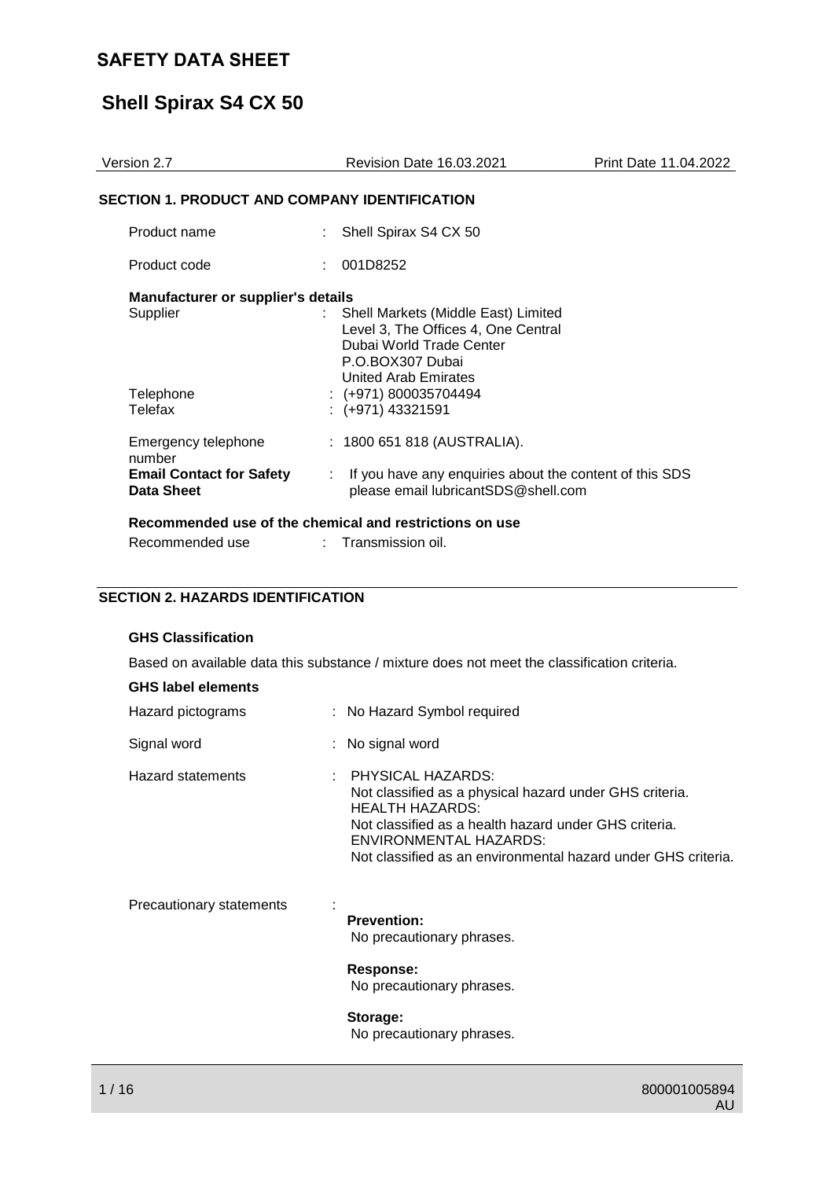# **Shell Spirax S4 CX 50**

| Version 2.7                                   | <b>Revision Date 16.03.2021</b>                                                                                                                             | Print Date 11.04.2022 |
|-----------------------------------------------|-------------------------------------------------------------------------------------------------------------------------------------------------------------|-----------------------|
| SECTION 1. PRODUCT AND COMPANY IDENTIFICATION |                                                                                                                                                             |                       |
| Product name                                  | : Shell Spirax S4 CX 50                                                                                                                                     |                       |
| Product code                                  | : 001D8252                                                                                                                                                  |                       |
| Manufacturer or supplier's details            |                                                                                                                                                             |                       |
| Supplier                                      | : Shell Markets (Middle East) Limited<br>Level 3, The Offices 4, One Central<br>Dubai World Trade Center<br>P.O.BOX307 Dubai<br><b>United Arab Emirates</b> |                       |
| Telephone<br>Telefax                          | $:(+971)800035704494$<br>$:(+971)$ 43321591                                                                                                                 |                       |
| Emergency telephone<br>number                 | : 1800 651 818 (AUSTRALIA).                                                                                                                                 |                       |
| <b>Email Contact for Safety</b><br>Data Sheet | : If you have any enquiries about the content of this SDS<br>please email lubricantSDS@shell.com                                                            |                       |
|                                               | Recommended use of the chemical and restrictions on use                                                                                                     |                       |
| Recommended use                               | Transmission oil.                                                                                                                                           |                       |

### **SECTION 2. HAZARDS IDENTIFICATION**

#### **GHS Classification**

Based on available data this substance / mixture does not meet the classification criteria.

| <b>GHS label elements</b> |                                                                                                                                                                                                                                                              |
|---------------------------|--------------------------------------------------------------------------------------------------------------------------------------------------------------------------------------------------------------------------------------------------------------|
| Hazard pictograms         | : No Hazard Symbol required                                                                                                                                                                                                                                  |
| Signal word               | : No signal word                                                                                                                                                                                                                                             |
| <b>Hazard statements</b>  | : PHYSICAL HAZARDS:<br>Not classified as a physical hazard under GHS criteria.<br><b>HEALTH HAZARDS:</b><br>Not classified as a health hazard under GHS criteria.<br>ENVIRONMENTAL HAZARDS:<br>Not classified as an environmental hazard under GHS criteria. |
| Precautionary statements  | <b>Prevention:</b><br>No precautionary phrases.<br>Response:<br>No precautionary phrases.<br>Storage:                                                                                                                                                        |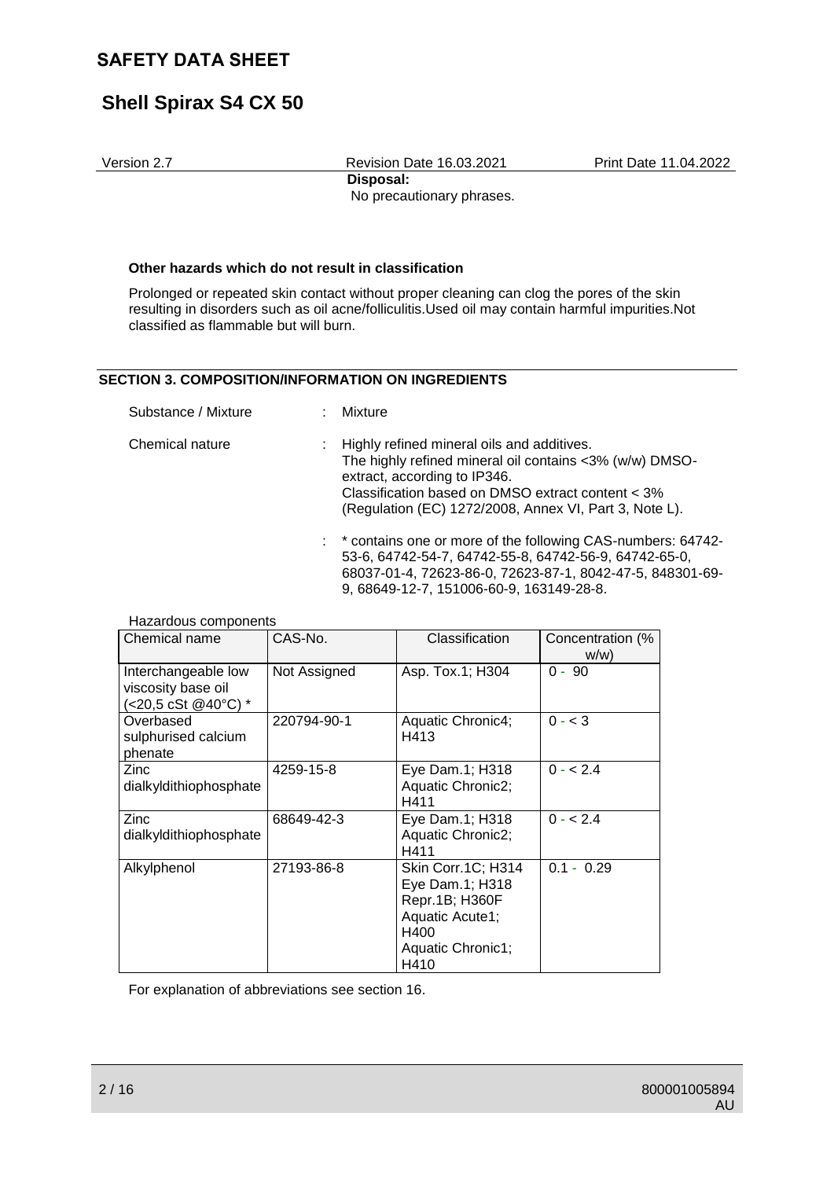# **Shell Spirax S4 CX 50**

Version 2.7 Revision Date 16.03.2021 Print Date 11.04.2022 **Disposal:**  No precautionary phrases.

#### **Other hazards which do not result in classification**

Prolonged or repeated skin contact without proper cleaning can clog the pores of the skin resulting in disorders such as oil acne/folliculitis.Used oil may contain harmful impurities.Not classified as flammable but will burn.

#### **SECTION 3. COMPOSITION/INFORMATION ON INGREDIENTS**

| Substance / Mixture | : Mixture                                                                                                                                                                                                                                              |
|---------------------|--------------------------------------------------------------------------------------------------------------------------------------------------------------------------------------------------------------------------------------------------------|
| Chemical nature     | : Highly refined mineral oils and additives.<br>The highly refined mineral oil contains <3% (w/w) DMSO-<br>extract, according to IP346.<br>Classification based on DMSO extract content < 3%<br>(Regulation (EC) 1272/2008, Annex VI, Part 3, Note L). |
|                     | : * contains one or more of the following CAS-numbers: 64742-<br>53-6 64742-54-7 64742-55-8 64742-56-9 64742-65-0                                                                                                                                      |

| CONTROLLO UT THOIC OF THE TUILOWING ONO HUINDERS. UT IT TE |
|------------------------------------------------------------|
| 53-6, 64742-54-7, 64742-55-8, 64742-56-9, 64742-65-0,      |
| 68037-01-4, 72623-86-0, 72623-87-1, 8042-47-5, 848301-69-  |
| 9.68649-12-7.151006-60-9.163149-28-8.                      |

| Chemical name                                                    | CAS-No.      | Classification                                                                                                  | Concentration (%<br>w/w |
|------------------------------------------------------------------|--------------|-----------------------------------------------------------------------------------------------------------------|-------------------------|
| Interchangeable low<br>viscosity base oil<br>(<20,5 cSt @40°C) * | Not Assigned | Asp. Tox.1; H304                                                                                                | $0 - 90$                |
| Overbased<br>sulphurised calcium<br>phenate                      | 220794-90-1  | Aquatic Chronic4;<br>H413                                                                                       | $0 - < 3$               |
| Zinc<br>dialkyldithiophosphate                                   | 4259-15-8    | Eye Dam.1; H318<br><b>Aquatic Chronic2;</b><br>H411                                                             | $0 - 2.4$               |
| Zinc<br>dialkyldithiophosphate                                   | 68649-42-3   | Eye Dam.1; H318<br>Aquatic Chronic2;<br>H411                                                                    | $0 - 2.4$               |
| Alkylphenol                                                      | 27193-86-8   | Skin Corr.1C; H314<br>Eye Dam.1; H318<br>Repr.1B; H360F<br>Aquatic Acute1;<br>H400<br>Aquatic Chronic1;<br>H410 | $0.1 - 0.29$            |

Hazardous components

For explanation of abbreviations see section 16.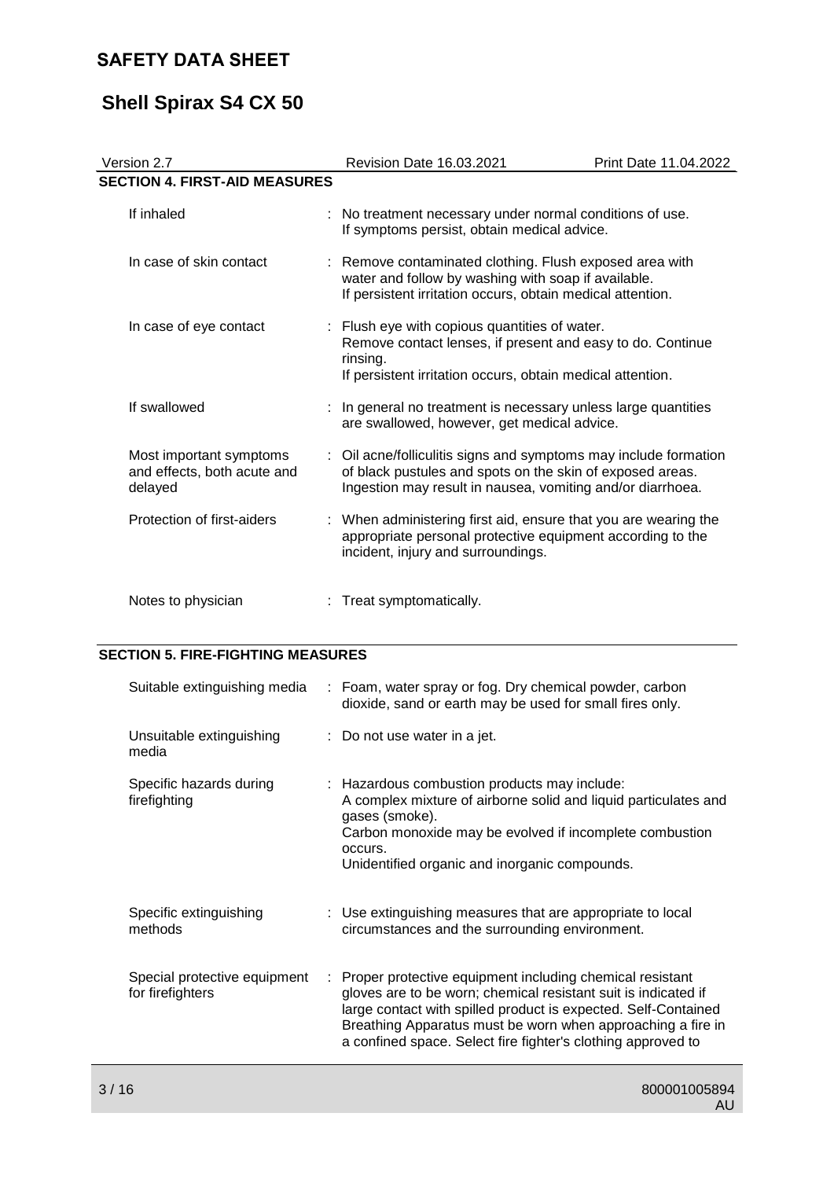# **Shell Spirax S4 CX 50**

| Version 2.7                                                       | <b>Revision Date 16.03.2021</b> |                                                                                                                                                                                             | Print Date 11.04.2022 |
|-------------------------------------------------------------------|---------------------------------|---------------------------------------------------------------------------------------------------------------------------------------------------------------------------------------------|-----------------------|
| <b>SECTION 4. FIRST-AID MEASURES</b>                              |                                 |                                                                                                                                                                                             |                       |
| If inhaled                                                        |                                 | : No treatment necessary under normal conditions of use.<br>If symptoms persist, obtain medical advice.                                                                                     |                       |
| In case of skin contact                                           |                                 | : Remove contaminated clothing. Flush exposed area with<br>water and follow by washing with soap if available.<br>If persistent irritation occurs, obtain medical attention.                |                       |
| In case of eye contact                                            |                                 | : Flush eye with copious quantities of water.<br>Remove contact lenses, if present and easy to do. Continue<br>rinsing.<br>If persistent irritation occurs, obtain medical attention.       |                       |
| If swallowed                                                      |                                 | In general no treatment is necessary unless large quantities<br>are swallowed, however, get medical advice.                                                                                 |                       |
| Most important symptoms<br>and effects, both acute and<br>delayed |                                 | : Oil acne/folliculitis signs and symptoms may include formation<br>of black pustules and spots on the skin of exposed areas.<br>Ingestion may result in nausea, vomiting and/or diarrhoea. |                       |
| Protection of first-aiders                                        |                                 | : When administering first aid, ensure that you are wearing the<br>appropriate personal protective equipment according to the<br>incident, injury and surroundings.                         |                       |
| Notes to physician                                                |                                 | Treat symptomatically.                                                                                                                                                                      |                       |

### **SECTION 5. FIRE-FIGHTING MEASURES**

| Suitable extinguishing media                     |    | : Foam, water spray or fog. Dry chemical powder, carbon<br>dioxide, sand or earth may be used for small fires only.                                                                                                                                                                                                         |
|--------------------------------------------------|----|-----------------------------------------------------------------------------------------------------------------------------------------------------------------------------------------------------------------------------------------------------------------------------------------------------------------------------|
| Unsuitable extinguishing<br>media                |    | $\therefore$ Do not use water in a jet.                                                                                                                                                                                                                                                                                     |
| Specific hazards during<br>firefighting          |    | : Hazardous combustion products may include:<br>A complex mixture of airborne solid and liquid particulates and<br>gases (smoke).<br>Carbon monoxide may be evolved if incomplete combustion<br>occurs.<br>Unidentified organic and inorganic compounds.                                                                    |
| Specific extinguishing<br>methods                |    | : Use extinguishing measures that are appropriate to local<br>circumstances and the surrounding environment.                                                                                                                                                                                                                |
| Special protective equipment<br>for firefighters | ÷. | Proper protective equipment including chemical resistant<br>gloves are to be worn; chemical resistant suit is indicated if<br>large contact with spilled product is expected. Self-Contained<br>Breathing Apparatus must be worn when approaching a fire in<br>a confined space. Select fire fighter's clothing approved to |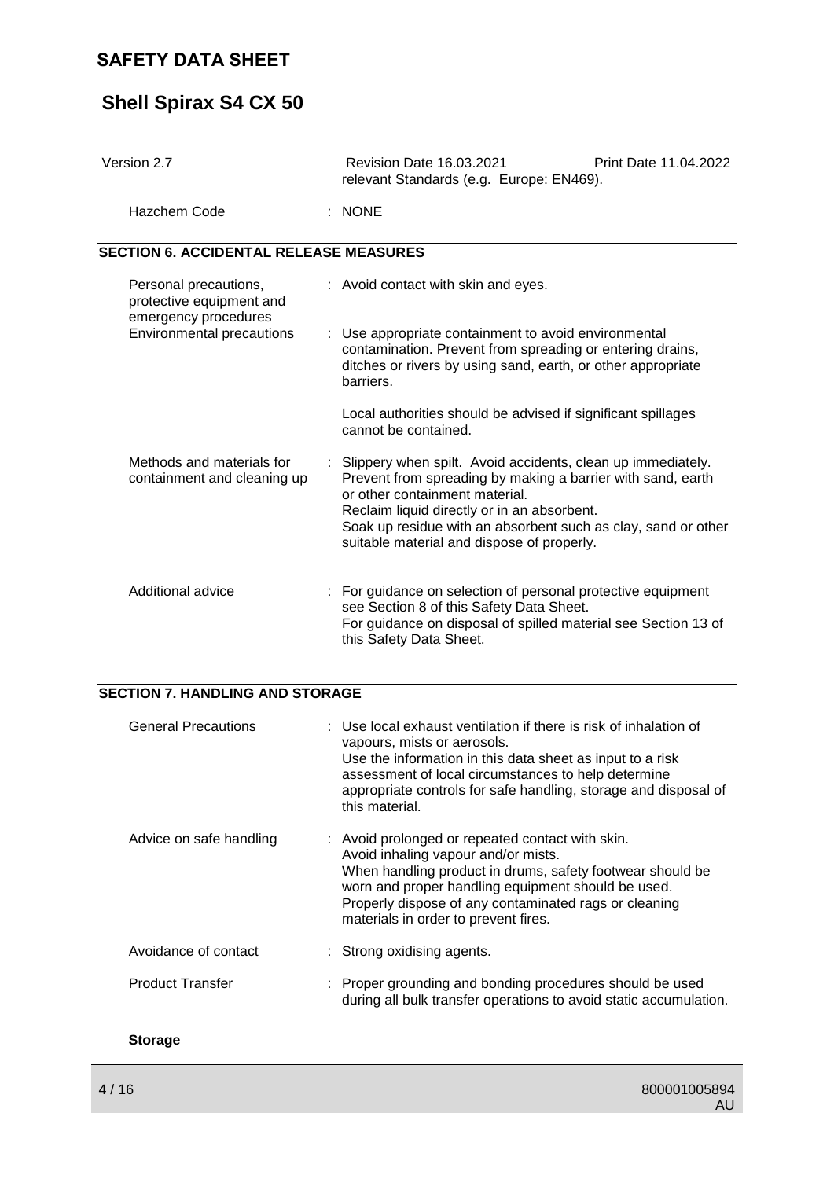# **Shell Spirax S4 CX 50**

| Version 2.7                                                               | Revision Date 16.03.2021<br>Print Date 11.04.2022                                                                                                                                                                                                                                                                            |  |
|---------------------------------------------------------------------------|------------------------------------------------------------------------------------------------------------------------------------------------------------------------------------------------------------------------------------------------------------------------------------------------------------------------------|--|
|                                                                           | relevant Standards (e.g. Europe: EN469).                                                                                                                                                                                                                                                                                     |  |
| Hazchem Code                                                              | $:$ NONE                                                                                                                                                                                                                                                                                                                     |  |
| <b>SECTION 6. ACCIDENTAL RELEASE MEASURES</b>                             |                                                                                                                                                                                                                                                                                                                              |  |
| Personal precautions,<br>protective equipment and<br>emergency procedures | : Avoid contact with skin and eyes.                                                                                                                                                                                                                                                                                          |  |
| Environmental precautions                                                 | : Use appropriate containment to avoid environmental<br>contamination. Prevent from spreading or entering drains,<br>ditches or rivers by using sand, earth, or other appropriate<br>barriers.                                                                                                                               |  |
|                                                                           | Local authorities should be advised if significant spillages<br>cannot be contained.                                                                                                                                                                                                                                         |  |
| Methods and materials for<br>containment and cleaning up                  | : Slippery when spilt. Avoid accidents, clean up immediately.<br>Prevent from spreading by making a barrier with sand, earth<br>or other containment material.<br>Reclaim liquid directly or in an absorbent.<br>Soak up residue with an absorbent such as clay, sand or other<br>suitable material and dispose of properly. |  |
| Additional advice                                                         | : For guidance on selection of personal protective equipment<br>see Section 8 of this Safety Data Sheet.<br>For guidance on disposal of spilled material see Section 13 of<br>this Safety Data Sheet.                                                                                                                        |  |

#### **SECTION 7. HANDLING AND STORAGE**

| <b>General Precautions</b> | $\pm$ Use local exhaust ventilation if there is risk of inhalation of<br>vapours, mists or aerosols.<br>Use the information in this data sheet as input to a risk<br>assessment of local circumstances to help determine<br>appropriate controls for safe handling, storage and disposal of<br>this material. |
|----------------------------|---------------------------------------------------------------------------------------------------------------------------------------------------------------------------------------------------------------------------------------------------------------------------------------------------------------|
| Advice on safe handling    | : Avoid prolonged or repeated contact with skin.<br>Avoid inhaling vapour and/or mists.<br>When handling product in drums, safety footwear should be<br>worn and proper handling equipment should be used.<br>Properly dispose of any contaminated rags or cleaning<br>materials in order to prevent fires.   |
| Avoidance of contact       | : Strong oxidising agents.                                                                                                                                                                                                                                                                                    |
| <b>Product Transfer</b>    | : Proper grounding and bonding procedures should be used<br>during all bulk transfer operations to avoid static accumulation.                                                                                                                                                                                 |
| <b>Storage</b>             |                                                                                                                                                                                                                                                                                                               |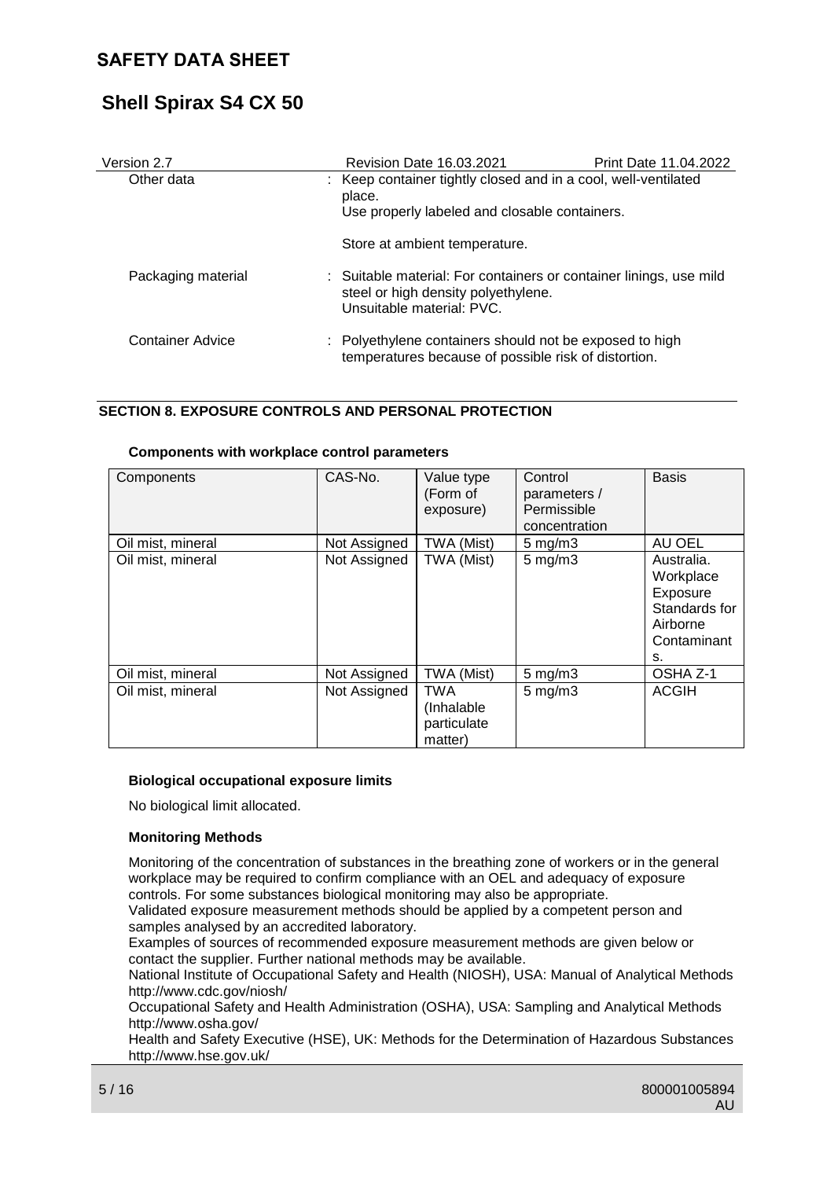# **Shell Spirax S4 CX 50**

| Version 2.7        | <b>Revision Date 16.03.2021</b>                                                                                                        | <b>Print Date 11.04.2022</b> |
|--------------------|----------------------------------------------------------------------------------------------------------------------------------------|------------------------------|
| Other data         | : Keep container tightly closed and in a cool, well-ventilated<br>place.<br>Use properly labeled and closable containers.              |                              |
|                    | Store at ambient temperature.                                                                                                          |                              |
| Packaging material | : Suitable material: For containers or container linings, use mild<br>steel or high density polyethylene.<br>Unsuitable material: PVC. |                              |
| Container Advice   | : Polyethylene containers should not be exposed to high<br>temperatures because of possible risk of distortion.                        |                              |

#### **SECTION 8. EXPOSURE CONTROLS AND PERSONAL PROTECTION**

| Components        | CAS-No.      | Value type<br>(Form of<br>exposure)                 | Control<br>parameters /<br>Permissible<br>concentration | <b>Basis</b>                                                                          |
|-------------------|--------------|-----------------------------------------------------|---------------------------------------------------------|---------------------------------------------------------------------------------------|
| Oil mist, mineral | Not Assigned | TWA (Mist)                                          | $5 \text{ mg/m}$ 3                                      | AU OEL                                                                                |
| Oil mist, mineral | Not Assigned | TWA (Mist)                                          | $5 \text{ mg/m}$ 3                                      | Australia.<br>Workplace<br>Exposure<br>Standards for<br>Airborne<br>Contaminant<br>s. |
| Oil mist, mineral | Not Assigned | TWA (Mist)                                          | $5$ mg/m $3$                                            | OSHA Z-1                                                                              |
| Oil mist, mineral | Not Assigned | <b>TWA</b><br>(Inhalable)<br>particulate<br>matter) | $5$ mg/m $3$                                            | <b>ACGIH</b>                                                                          |

#### **Components with workplace control parameters**

#### **Biological occupational exposure limits**

No biological limit allocated.

#### **Monitoring Methods**

Monitoring of the concentration of substances in the breathing zone of workers or in the general workplace may be required to confirm compliance with an OEL and adequacy of exposure controls. For some substances biological monitoring may also be appropriate.

Validated exposure measurement methods should be applied by a competent person and samples analysed by an accredited laboratory.

Examples of sources of recommended exposure measurement methods are given below or contact the supplier. Further national methods may be available.

National Institute of Occupational Safety and Health (NIOSH), USA: Manual of Analytical Methods http://www.cdc.gov/niosh/

Occupational Safety and Health Administration (OSHA), USA: Sampling and Analytical Methods http://www.osha.gov/

Health and Safety Executive (HSE), UK: Methods for the Determination of Hazardous Substances http://www.hse.gov.uk/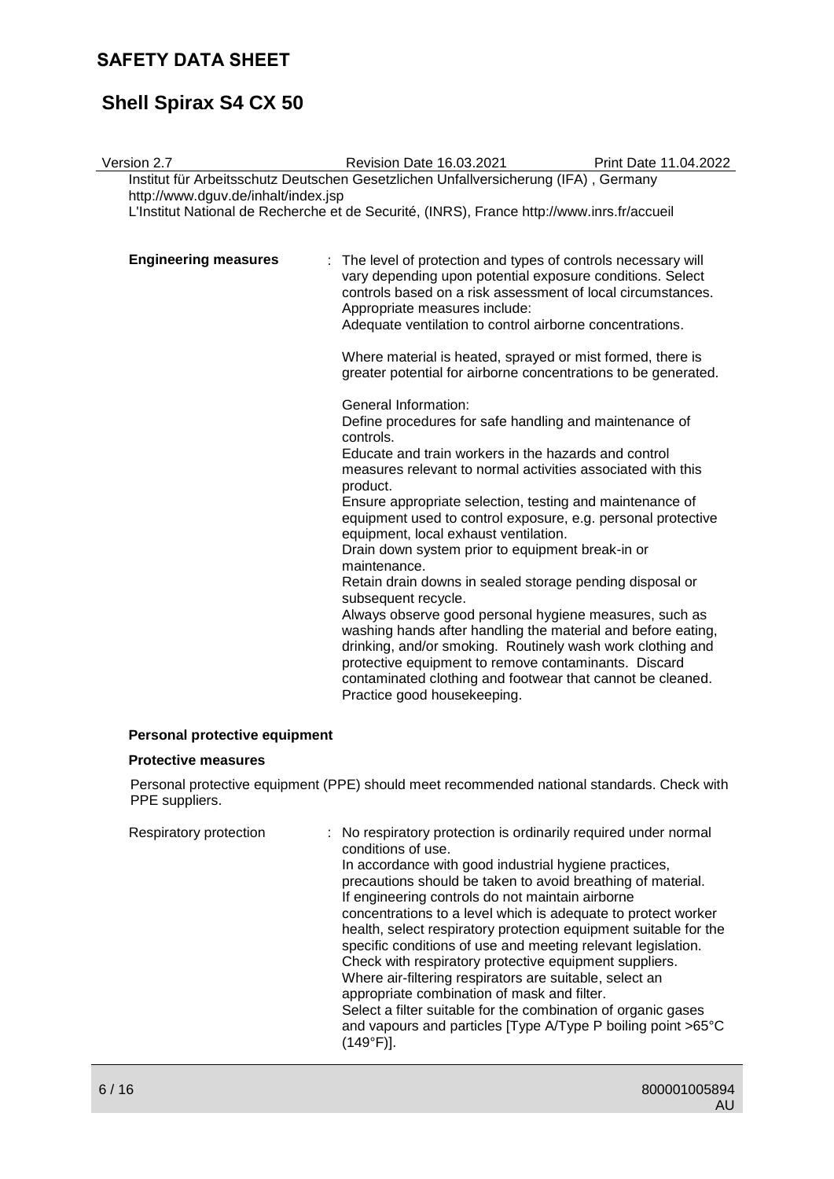# **Shell Spirax S4 CX 50**

| Version 2.7                         | Revision Date 16.03.2021                                                                                                                                                                                                                                                                                                                                                                                                                                                                                                                                                                                                                                                                                                                                                                                                                                                                                | Print Date 11.04.2022 |
|-------------------------------------|---------------------------------------------------------------------------------------------------------------------------------------------------------------------------------------------------------------------------------------------------------------------------------------------------------------------------------------------------------------------------------------------------------------------------------------------------------------------------------------------------------------------------------------------------------------------------------------------------------------------------------------------------------------------------------------------------------------------------------------------------------------------------------------------------------------------------------------------------------------------------------------------------------|-----------------------|
| http://www.dguv.de/inhalt/index.jsp | Institut für Arbeitsschutz Deutschen Gesetzlichen Unfallversicherung (IFA), Germany<br>L'Institut National de Recherche et de Securité, (INRS), France http://www.inrs.fr/accueil                                                                                                                                                                                                                                                                                                                                                                                                                                                                                                                                                                                                                                                                                                                       |                       |
| <b>Engineering measures</b>         | : The level of protection and types of controls necessary will<br>vary depending upon potential exposure conditions. Select<br>controls based on a risk assessment of local circumstances.<br>Appropriate measures include:<br>Adequate ventilation to control airborne concentrations.<br>Where material is heated, sprayed or mist formed, there is<br>greater potential for airborne concentrations to be generated.                                                                                                                                                                                                                                                                                                                                                                                                                                                                                 |                       |
|                                     | General Information:<br>Define procedures for safe handling and maintenance of<br>controls.<br>Educate and train workers in the hazards and control<br>measures relevant to normal activities associated with this<br>product.<br>Ensure appropriate selection, testing and maintenance of<br>equipment used to control exposure, e.g. personal protective<br>equipment, local exhaust ventilation.<br>Drain down system prior to equipment break-in or<br>maintenance.<br>Retain drain downs in sealed storage pending disposal or<br>subsequent recycle.<br>Always observe good personal hygiene measures, such as<br>washing hands after handling the material and before eating,<br>drinking, and/or smoking. Routinely wash work clothing and<br>protective equipment to remove contaminants. Discard<br>contaminated clothing and footwear that cannot be cleaned.<br>Practice good housekeeping. |                       |
|                                     |                                                                                                                                                                                                                                                                                                                                                                                                                                                                                                                                                                                                                                                                                                                                                                                                                                                                                                         |                       |

#### **Personal protective equipment**

#### **Protective measures**

Personal protective equipment (PPE) should meet recommended national standards. Check with PPE suppliers.

| precautions should be taken to avoid breathing of material.<br>If engineering controls do not maintain airborne<br>concentrations to a level which is adequate to protect worker<br>health, select respiratory protection equipment suitable for the<br>specific conditions of use and meeting relevant legislation.<br>Check with respiratory protective equipment suppliers.<br>Where air-filtering respirators are suitable, select an<br>appropriate combination of mask and filter.<br>Select a filter suitable for the combination of organic gases<br>and vapours and particles [Type A/Type P boiling point >65°C<br>(149°F)]. | Respiratory protection<br>conditions of use. | : No respiratory protection is ordinarily required under normal<br>In accordance with good industrial hygiene practices, |
|----------------------------------------------------------------------------------------------------------------------------------------------------------------------------------------------------------------------------------------------------------------------------------------------------------------------------------------------------------------------------------------------------------------------------------------------------------------------------------------------------------------------------------------------------------------------------------------------------------------------------------------|----------------------------------------------|--------------------------------------------------------------------------------------------------------------------------|
|----------------------------------------------------------------------------------------------------------------------------------------------------------------------------------------------------------------------------------------------------------------------------------------------------------------------------------------------------------------------------------------------------------------------------------------------------------------------------------------------------------------------------------------------------------------------------------------------------------------------------------------|----------------------------------------------|--------------------------------------------------------------------------------------------------------------------------|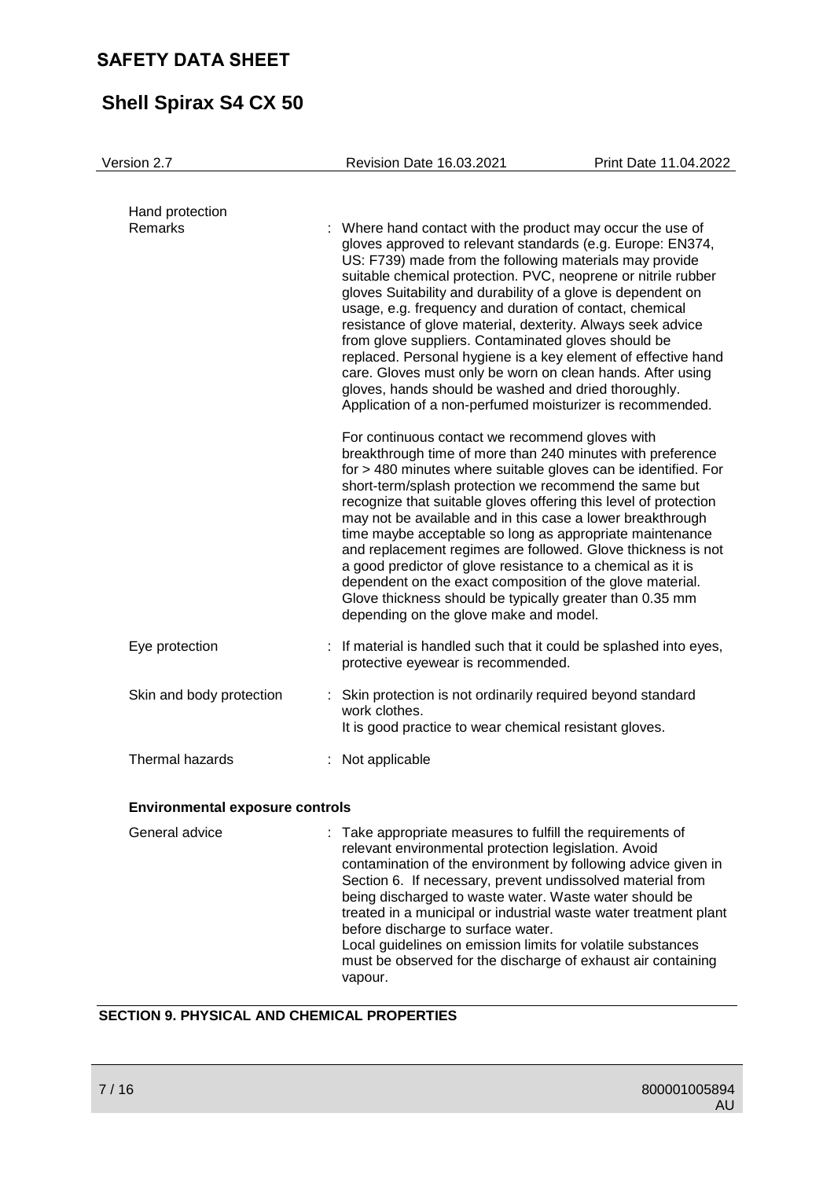# **Shell Spirax S4 CX 50**

| Version 2.7                            | <b>Revision Date 16.03.2021</b>        | Print Date 11.04.2022                                                                                                                                                                                                                                                                                                                                                                                                                                                                                                                                                                                                                                                                                                                                   |
|----------------------------------------|----------------------------------------|---------------------------------------------------------------------------------------------------------------------------------------------------------------------------------------------------------------------------------------------------------------------------------------------------------------------------------------------------------------------------------------------------------------------------------------------------------------------------------------------------------------------------------------------------------------------------------------------------------------------------------------------------------------------------------------------------------------------------------------------------------|
| Hand protection<br>Remarks             |                                        | Where hand contact with the product may occur the use of<br>gloves approved to relevant standards (e.g. Europe: EN374,<br>US: F739) made from the following materials may provide<br>suitable chemical protection. PVC, neoprene or nitrile rubber<br>gloves Suitability and durability of a glove is dependent on<br>usage, e.g. frequency and duration of contact, chemical<br>resistance of glove material, dexterity. Always seek advice<br>from glove suppliers. Contaminated gloves should be<br>replaced. Personal hygiene is a key element of effective hand<br>care. Gloves must only be worn on clean hands. After using<br>gloves, hands should be washed and dried thoroughly.<br>Application of a non-perfumed moisturizer is recommended. |
|                                        | depending on the glove make and model. | For continuous contact we recommend gloves with<br>breakthrough time of more than 240 minutes with preference<br>for > 480 minutes where suitable gloves can be identified. For<br>short-term/splash protection we recommend the same but<br>recognize that suitable gloves offering this level of protection<br>may not be available and in this case a lower breakthrough<br>time maybe acceptable so long as appropriate maintenance<br>and replacement regimes are followed. Glove thickness is not<br>a good predictor of glove resistance to a chemical as it is<br>dependent on the exact composition of the glove material.<br>Glove thickness should be typically greater than 0.35 mm                                                         |
| Eye protection                         | protective eyewear is recommended.     | : If material is handled such that it could be splashed into eyes,                                                                                                                                                                                                                                                                                                                                                                                                                                                                                                                                                                                                                                                                                      |
| Skin and body protection               | work clothes.                          | : Skin protection is not ordinarily required beyond standard<br>It is good practice to wear chemical resistant gloves.                                                                                                                                                                                                                                                                                                                                                                                                                                                                                                                                                                                                                                  |
| Thermal hazards                        | : Not applicable                       |                                                                                                                                                                                                                                                                                                                                                                                                                                                                                                                                                                                                                                                                                                                                                         |
| <b>Environmental exposure controls</b> |                                        |                                                                                                                                                                                                                                                                                                                                                                                                                                                                                                                                                                                                                                                                                                                                                         |
| General advice                         |                                        | Take appropriate measures to fulfill the requirements of<br>relevant environmental protection legislation. Avoid<br>contamination of the environment by following advice given in<br>Section 6. If necessary, prevent undissolved material from                                                                                                                                                                                                                                                                                                                                                                                                                                                                                                         |

treated in a municipal or industrial waste water treatment plant before discharge to surface water. Local guidelines on emission limits for volatile substances must be observed for the discharge of exhaust air containing vapour.

being discharged to waste water. Waste water should be

#### **SECTION 9. PHYSICAL AND CHEMICAL PROPERTIES**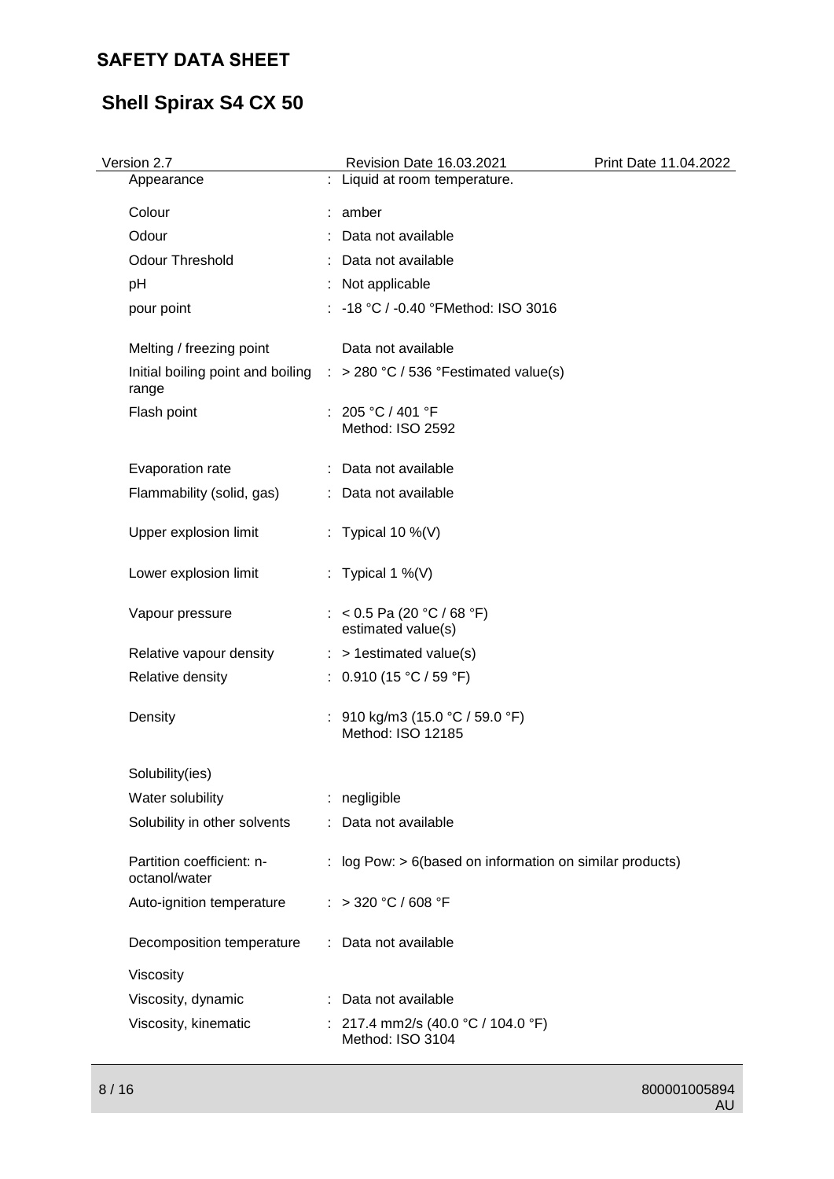# **Shell Spirax S4 CX 50**

| Version 2.7                                | Revision Date 16.03.2021                                                           | Print Date 11.04.2022 |
|--------------------------------------------|------------------------------------------------------------------------------------|-----------------------|
| Appearance                                 | : Liquid at room temperature.                                                      |                       |
| Colour                                     | : amber                                                                            |                       |
| Odour                                      | : Data not available                                                               |                       |
| <b>Odour Threshold</b>                     | : Data not available                                                               |                       |
| pH                                         | : Not applicable                                                                   |                       |
| pour point                                 | : -18 °C / -0.40 °FMethod: ISO 3016                                                |                       |
| Melting / freezing point                   | Data not available                                                                 |                       |
| range                                      | Initial boiling point and boiling $\therefore$ > 280 °C / 536 °Festimated value(s) |                       |
| Flash point                                | : 205 °C / 401 °F<br>Method: ISO 2592                                              |                       |
| Evaporation rate                           | : Data not available                                                               |                       |
| Flammability (solid, gas)                  | : Data not available                                                               |                       |
| Upper explosion limit                      | : Typical 10 %(V)                                                                  |                       |
| Lower explosion limit                      | : Typical 1 %(V)                                                                   |                       |
| Vapour pressure                            | : < 0.5 Pa (20 °C / 68 °F)<br>estimated value(s)                                   |                       |
| Relative vapour density                    | $:$ > 1 estimated value(s)                                                         |                       |
| Relative density                           | : $0.910(15 °C / 59 °F)$                                                           |                       |
| Density                                    | : $910 \text{ kg/m}$ 3 (15.0 °C / 59.0 °F)<br>Method: ISO 12185                    |                       |
| Solubility(ies)                            |                                                                                    |                       |
| Water solubility                           | : negligible                                                                       |                       |
| Solubility in other solvents               | : Data not available                                                               |                       |
| Partition coefficient: n-<br>octanol/water | : log Pow: $> 6$ (based on information on similar products)                        |                       |
| Auto-ignition temperature                  | : > 320 °C / 608 °F                                                                |                       |
| Decomposition temperature                  | : Data not available                                                               |                       |
| Viscosity                                  |                                                                                    |                       |
| Viscosity, dynamic                         | : Data not available                                                               |                       |
| Viscosity, kinematic                       | : 217.4 mm2/s (40.0 °C / 104.0 °F)<br>Method: ISO 3104                             |                       |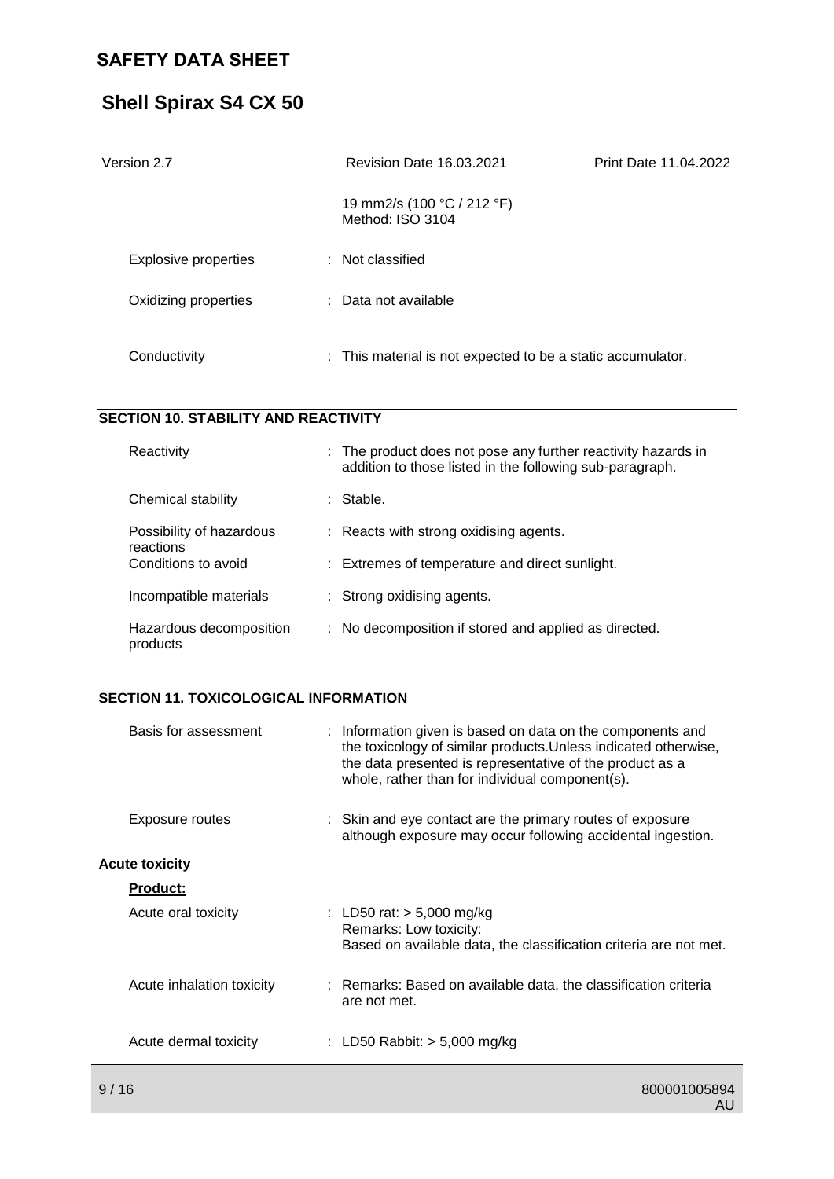# **Shell Spirax S4 CX 50**

| Version 2.7          | <b>Revision Date 16.03.2021</b>                             | Print Date 11.04.2022 |
|----------------------|-------------------------------------------------------------|-----------------------|
|                      | 19 mm2/s (100 °C / 212 °F)<br>Method: ISO 3104              |                       |
| Explosive properties | : Not classified                                            |                       |
| Oxidizing properties | : Data not available                                        |                       |
| Conductivity         | : This material is not expected to be a static accumulator. |                       |

#### **SECTION 10. STABILITY AND REACTIVITY**

| Reactivity                            | : The product does not pose any further reactivity hazards in<br>addition to those listed in the following sub-paragraph. |  |
|---------------------------------------|---------------------------------------------------------------------------------------------------------------------------|--|
| Chemical stability                    | : Stable.                                                                                                                 |  |
| Possibility of hazardous<br>reactions | $\therefore$ Reacts with strong oxidising agents.                                                                         |  |
| Conditions to avoid                   | : Extremes of temperature and direct sunlight.                                                                            |  |
| Incompatible materials                | : Strong oxidising agents.                                                                                                |  |
| Hazardous decomposition<br>products   | No decomposition if stored and applied as directed.<br>÷.                                                                 |  |

### **SECTION 11. TOXICOLOGICAL INFORMATION**

| Basis for assessment      | : Information given is based on data on the components and<br>the toxicology of similar products. Unless indicated otherwise,<br>the data presented is representative of the product as a<br>whole, rather than for individual component(s). |
|---------------------------|----------------------------------------------------------------------------------------------------------------------------------------------------------------------------------------------------------------------------------------------|
| Exposure routes           | : Skin and eye contact are the primary routes of exposure<br>although exposure may occur following accidental ingestion.                                                                                                                     |
| <b>Acute toxicity</b>     |                                                                                                                                                                                                                                              |
| <b>Product:</b>           |                                                                                                                                                                                                                                              |
| Acute oral toxicity       | : LD50 rat: $> 5,000$ mg/kg<br>Remarks: Low toxicity:<br>Based on available data, the classification criteria are not met.                                                                                                                   |
| Acute inhalation toxicity | : Remarks: Based on available data, the classification criteria<br>are not met.                                                                                                                                                              |
| Acute dermal toxicity     | : LD50 Rabbit: $>$ 5,000 mg/kg                                                                                                                                                                                                               |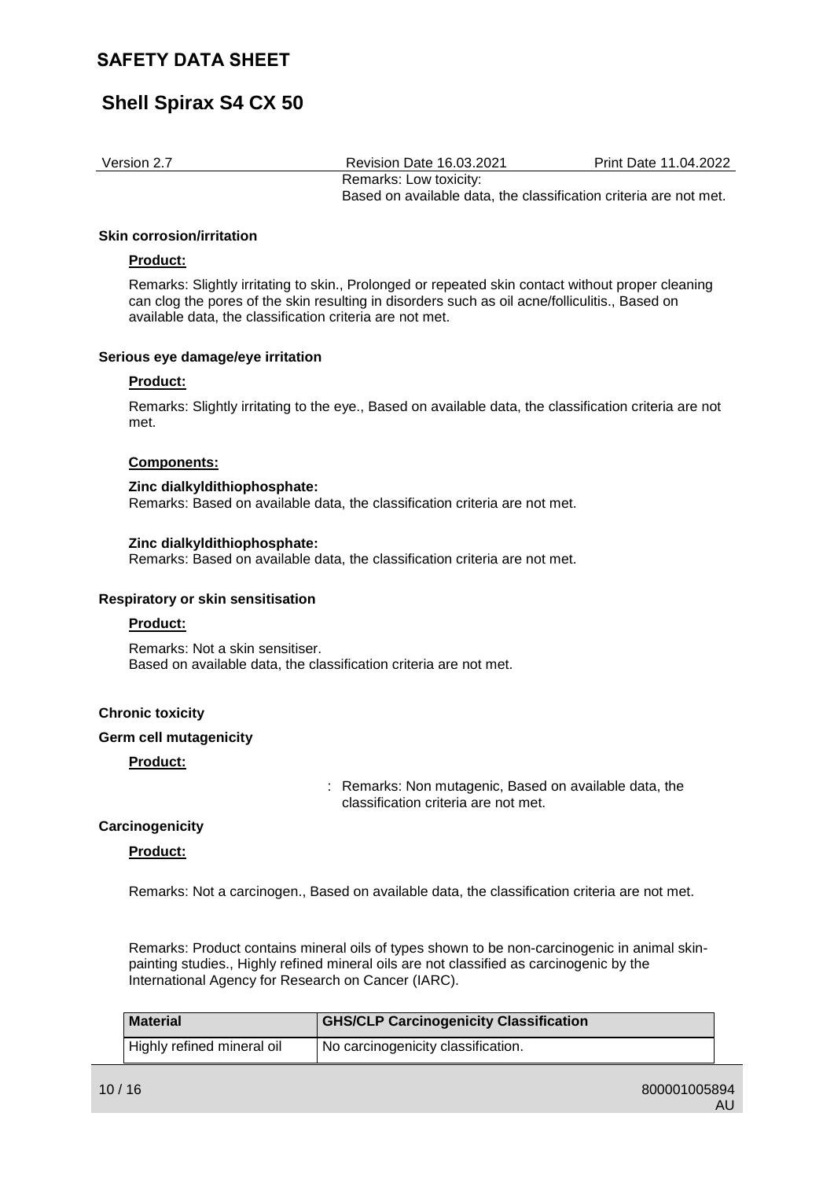# **Shell Spirax S4 CX 50**

Version 2.7 Revision Date 16.03.2021 Print Date 11.04.2022 Remarks: Low toxicity: Based on available data, the classification criteria are not met.

#### **Skin corrosion/irritation**

#### **Product:**

Remarks: Slightly irritating to skin., Prolonged or repeated skin contact without proper cleaning can clog the pores of the skin resulting in disorders such as oil acne/folliculitis., Based on available data, the classification criteria are not met.

#### **Serious eye damage/eye irritation**

#### **Product:**

Remarks: Slightly irritating to the eye., Based on available data, the classification criteria are not met.

#### **Components:**

#### **Zinc dialkyldithiophosphate:**

Remarks: Based on available data, the classification criteria are not met.

#### **Zinc dialkyldithiophosphate:**

Remarks: Based on available data, the classification criteria are not met.

#### **Respiratory or skin sensitisation**

#### **Product:**

Remarks: Not a skin sensitiser. Based on available data, the classification criteria are not met.

#### **Chronic toxicity**

#### **Germ cell mutagenicity**

#### **Product:**

: Remarks: Non mutagenic, Based on available data, the classification criteria are not met.

#### **Carcinogenicity**

#### **Product:**

Remarks: Not a carcinogen., Based on available data, the classification criteria are not met.

Remarks: Product contains mineral oils of types shown to be non-carcinogenic in animal skinpainting studies., Highly refined mineral oils are not classified as carcinogenic by the International Agency for Research on Cancer (IARC).

| <b>Material</b>            | <b>GHS/CLP Carcinogenicity Classification</b> |
|----------------------------|-----------------------------------------------|
| Highly refined mineral oil | No carcinogenicity classification.            |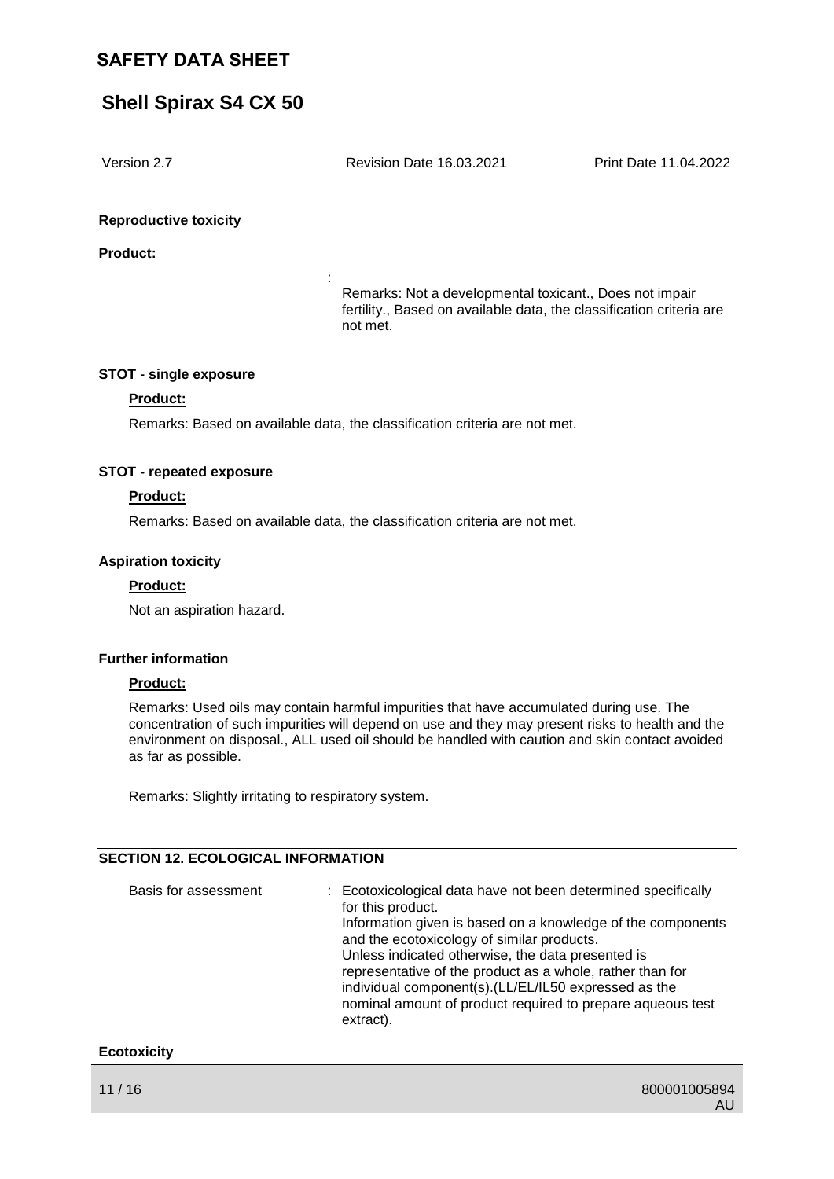## **Shell Spirax S4 CX 50**

Version 2.7 Revision Date 16.03.2021 Print Date 11.04.2022

#### **Reproductive toxicity**

**Product:**

Remarks: Not a developmental toxicant., Does not impair fertility., Based on available data, the classification criteria are not met.

#### **STOT - single exposure**

#### **Product:**

Remarks: Based on available data, the classification criteria are not met.

:

#### **STOT - repeated exposure**

#### **Product:**

Remarks: Based on available data, the classification criteria are not met.

#### **Aspiration toxicity**

#### **Product:**

Not an aspiration hazard.

#### **Further information**

#### **Product:**

Remarks: Used oils may contain harmful impurities that have accumulated during use. The concentration of such impurities will depend on use and they may present risks to health and the environment on disposal., ALL used oil should be handled with caution and skin contact avoided as far as possible.

Remarks: Slightly irritating to respiratory system.

#### **SECTION 12. ECOLOGICAL INFORMATION**

| Basis for assessment | : Ecotoxicological data have not been determined specifically<br>for this product.<br>Information given is based on a knowledge of the components<br>and the ecotoxicology of similar products.<br>Unless indicated otherwise, the data presented is<br>representative of the product as a whole, rather than for<br>individual component(s). (LL/EL/IL50 expressed as the<br>nominal amount of product required to prepare aqueous test<br>extract). |
|----------------------|-------------------------------------------------------------------------------------------------------------------------------------------------------------------------------------------------------------------------------------------------------------------------------------------------------------------------------------------------------------------------------------------------------------------------------------------------------|
|                      |                                                                                                                                                                                                                                                                                                                                                                                                                                                       |

#### **Ecotoxicity**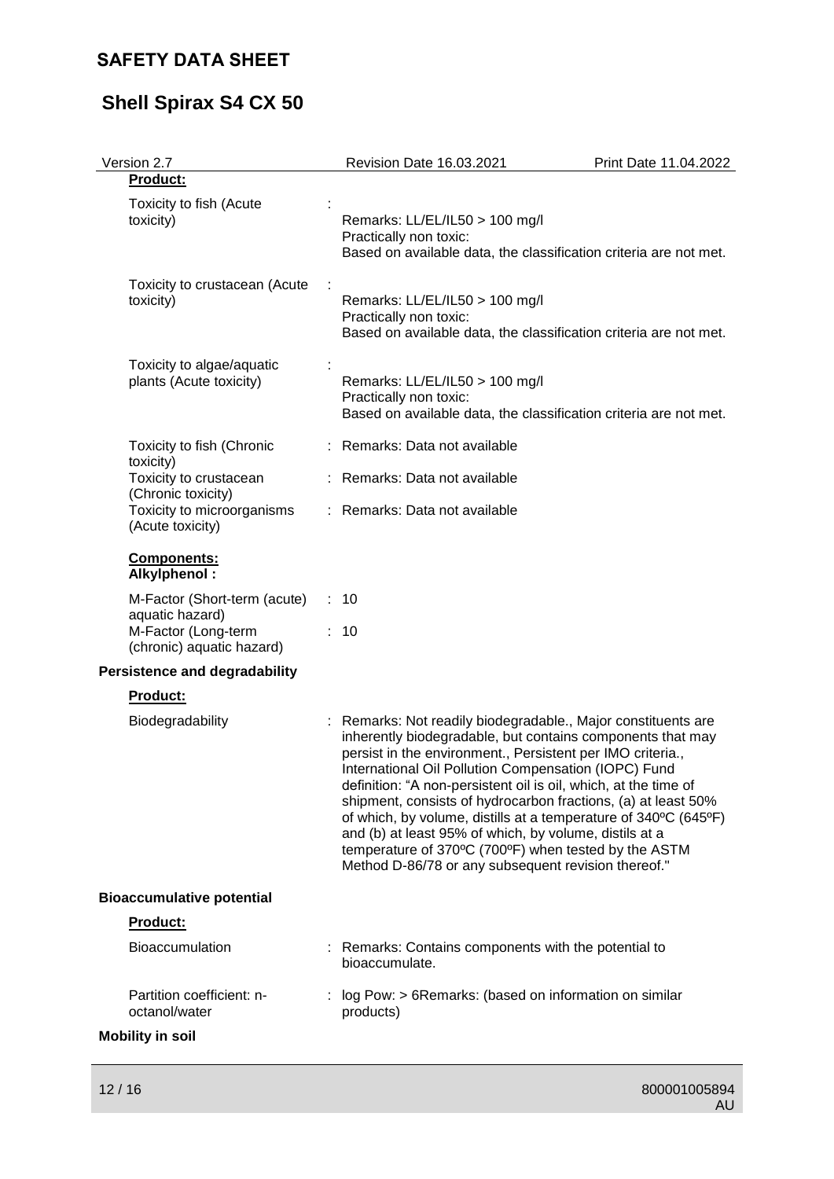# **Shell Spirax S4 CX 50**

| Version 2.7                                                                                         | Revision Date 16.03.2021                                                                                                                                                                                                                                                                                                                                                                                                                                                                                                                                                                                                        | Print Date 11.04.2022 |
|-----------------------------------------------------------------------------------------------------|---------------------------------------------------------------------------------------------------------------------------------------------------------------------------------------------------------------------------------------------------------------------------------------------------------------------------------------------------------------------------------------------------------------------------------------------------------------------------------------------------------------------------------------------------------------------------------------------------------------------------------|-----------------------|
| Product:                                                                                            |                                                                                                                                                                                                                                                                                                                                                                                                                                                                                                                                                                                                                                 |                       |
| Toxicity to fish (Acute<br>toxicity)                                                                | Remarks: LL/EL/IL50 > 100 mg/l<br>Practically non toxic:<br>Based on available data, the classification criteria are not met.                                                                                                                                                                                                                                                                                                                                                                                                                                                                                                   |                       |
| Toxicity to crustacean (Acute<br>toxicity)                                                          | Remarks: LL/EL/IL50 > 100 mg/l<br>Practically non toxic:<br>Based on available data, the classification criteria are not met.                                                                                                                                                                                                                                                                                                                                                                                                                                                                                                   |                       |
| Toxicity to algae/aquatic<br>plants (Acute toxicity)                                                | Remarks: LL/EL/IL50 > 100 mg/l<br>Practically non toxic:<br>Based on available data, the classification criteria are not met.                                                                                                                                                                                                                                                                                                                                                                                                                                                                                                   |                       |
| Toxicity to fish (Chronic<br>toxicity)                                                              | : Remarks: Data not available                                                                                                                                                                                                                                                                                                                                                                                                                                                                                                                                                                                                   |                       |
| Toxicity to crustacean<br>(Chronic toxicity)                                                        | Remarks: Data not available                                                                                                                                                                                                                                                                                                                                                                                                                                                                                                                                                                                                     |                       |
| Toxicity to microorganisms<br>(Acute toxicity)                                                      | : Remarks: Data not available                                                                                                                                                                                                                                                                                                                                                                                                                                                                                                                                                                                                   |                       |
| Components:<br>Alkylphenol:                                                                         |                                                                                                                                                                                                                                                                                                                                                                                                                                                                                                                                                                                                                                 |                       |
| M-Factor (Short-term (acute)<br>aquatic hazard)<br>M-Factor (Long-term<br>(chronic) aquatic hazard) | : 10<br>: 10                                                                                                                                                                                                                                                                                                                                                                                                                                                                                                                                                                                                                    |                       |
| <b>Persistence and degradability</b>                                                                |                                                                                                                                                                                                                                                                                                                                                                                                                                                                                                                                                                                                                                 |                       |
| Product:                                                                                            |                                                                                                                                                                                                                                                                                                                                                                                                                                                                                                                                                                                                                                 |                       |
| Biodegradability                                                                                    | Remarks: Not readily biodegradable., Major constituents are<br>inherently biodegradable, but contains components that may<br>persist in the environment., Persistent per IMO criteria.,<br>International Oil Pollution Compensation (IOPC) Fund<br>definition: "A non-persistent oil is oil, which, at the time of<br>shipment, consists of hydrocarbon fractions, (a) at least 50%<br>of which, by volume, distills at a temperature of 340°C (645°F)<br>and (b) at least 95% of which, by volume, distils at a<br>temperature of 370°C (700°F) when tested by the ASTM<br>Method D-86/78 or any subsequent revision thereof." |                       |
| <b>Bioaccumulative potential</b>                                                                    |                                                                                                                                                                                                                                                                                                                                                                                                                                                                                                                                                                                                                                 |                       |
| <b>Product:</b>                                                                                     |                                                                                                                                                                                                                                                                                                                                                                                                                                                                                                                                                                                                                                 |                       |
| <b>Bioaccumulation</b>                                                                              | : Remarks: Contains components with the potential to<br>bioaccumulate.                                                                                                                                                                                                                                                                                                                                                                                                                                                                                                                                                          |                       |
| Partition coefficient: n-<br>octanol/water                                                          | log Pow: > 6Remarks: (based on information on similar<br>products)                                                                                                                                                                                                                                                                                                                                                                                                                                                                                                                                                              |                       |
| <b>Mobility in soil</b>                                                                             |                                                                                                                                                                                                                                                                                                                                                                                                                                                                                                                                                                                                                                 |                       |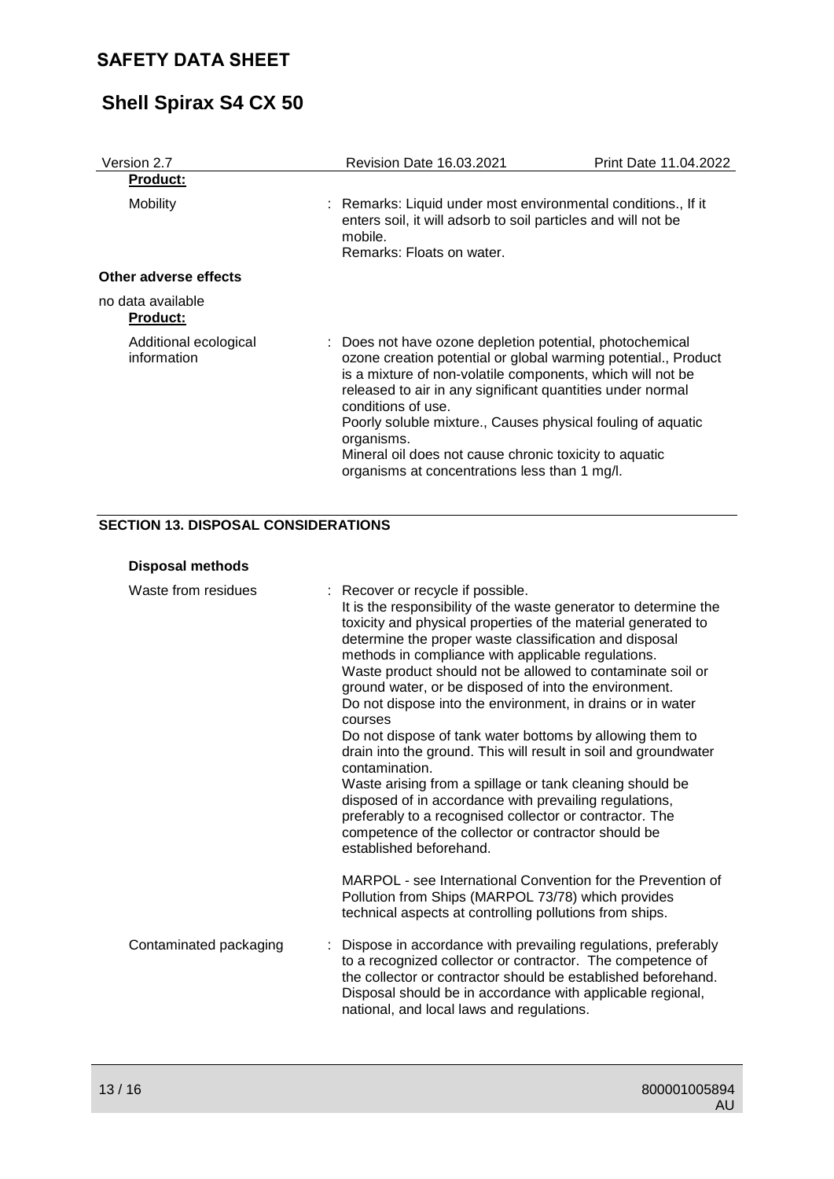# **Shell Spirax S4 CX 50**

| Version 2.7                          | <b>Revision Date 16.03.2021</b>                                                                                                                                                                                                                                                                                                                                                                                                                                      | Print Date 11.04.2022 |
|--------------------------------------|----------------------------------------------------------------------------------------------------------------------------------------------------------------------------------------------------------------------------------------------------------------------------------------------------------------------------------------------------------------------------------------------------------------------------------------------------------------------|-----------------------|
| <b>Product:</b>                      |                                                                                                                                                                                                                                                                                                                                                                                                                                                                      |                       |
| Mobility                             | : Remarks: Liquid under most environmental conditions., If it<br>enters soil, it will adsorb to soil particles and will not be<br>mobile.<br>Remarks: Floats on water.                                                                                                                                                                                                                                                                                               |                       |
| Other adverse effects                |                                                                                                                                                                                                                                                                                                                                                                                                                                                                      |                       |
| no data available<br><b>Product:</b> |                                                                                                                                                                                                                                                                                                                                                                                                                                                                      |                       |
| Additional ecological<br>information | : Does not have ozone depletion potential, photochemical<br>ozone creation potential or global warming potential., Product<br>is a mixture of non-volatile components, which will not be<br>released to air in any significant quantities under normal<br>conditions of use.<br>Poorly soluble mixture., Causes physical fouling of aquatic<br>organisms.<br>Mineral oil does not cause chronic toxicity to aquatic<br>organisms at concentrations less than 1 mg/l. |                       |

### **SECTION 13. DISPOSAL CONSIDERATIONS**

#### **Disposal methods** Waste from residues : Recover or recycle if possible. It is the responsibility of the waste generator to determine the toxicity and physical properties of the material generated to determine the proper waste classification and disposal methods in compliance with applicable regulations. Waste product should not be allowed to contaminate soil or ground water, or be disposed of into the environment. Do not dispose into the environment, in drains or in water courses Do not dispose of tank water bottoms by allowing them to drain into the ground. This will result in soil and groundwater contamination. Waste arising from a spillage or tank cleaning should be disposed of in accordance with prevailing regulations, preferably to a recognised collector or contractor. The competence of the collector or contractor should be established beforehand. MARPOL - see International Convention for the Prevention of Pollution from Ships (MARPOL 73/78) which provides technical aspects at controlling pollutions from ships. Contaminated packaging : Dispose in accordance with prevailing regulations, preferably to a recognized collector or contractor. The competence of the collector or contractor should be established beforehand. Disposal should be in accordance with applicable regional, national, and local laws and regulations.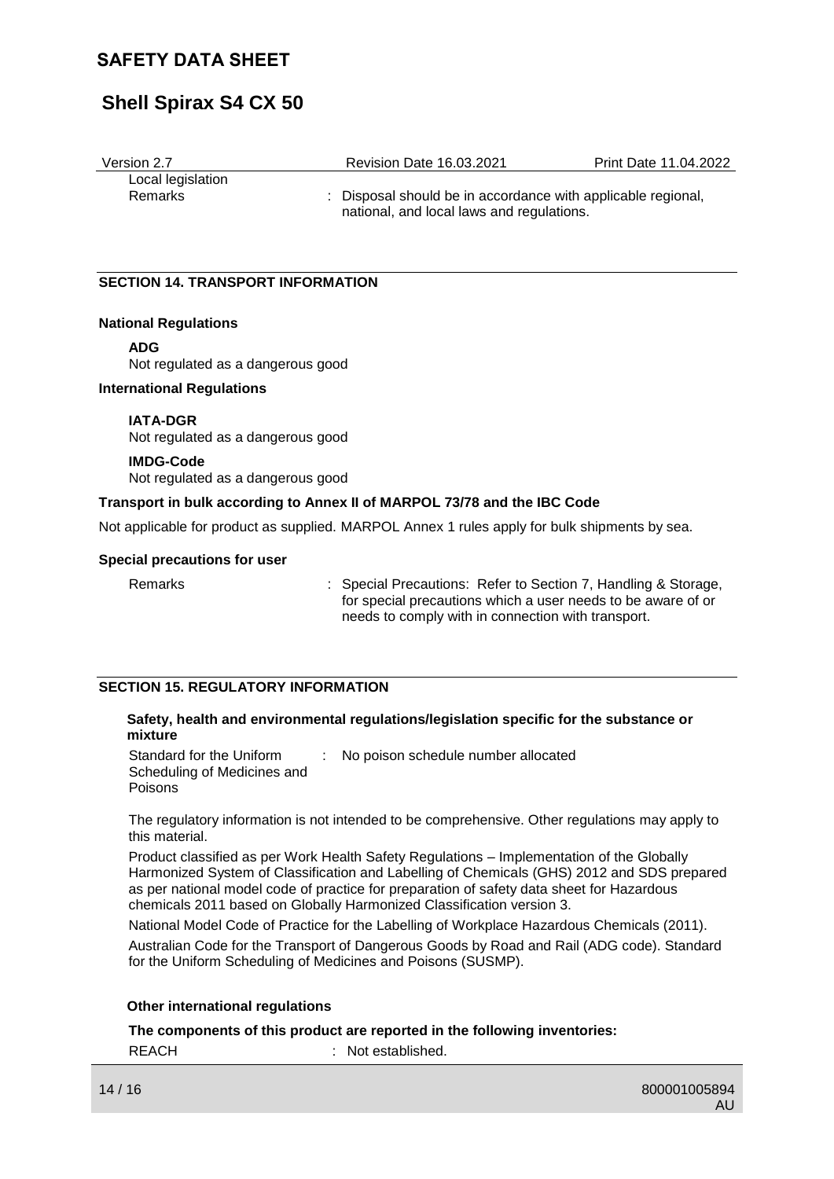## **Shell Spirax S4 CX 50**

| Version 2.7       | <b>Revision Date 16.03.2021</b>                              | Print Date 11.04.2022 |
|-------------------|--------------------------------------------------------------|-----------------------|
| Local legislation |                                                              |                       |
| Remarks           | : Disposal should be in accordance with applicable regional, |                       |
|                   | national, and local laws and regulations.                    |                       |

#### **SECTION 14. TRANSPORT INFORMATION**

#### **National Regulations**

**ADG**

Not regulated as a dangerous good

#### **International Regulations**

#### **IATA-DGR**

Not regulated as a dangerous good

#### **IMDG-Code**

Not regulated as a dangerous good

#### **Transport in bulk according to Annex II of MARPOL 73/78 and the IBC Code**

Not applicable for product as supplied. MARPOL Annex 1 rules apply for bulk shipments by sea.

#### **Special precautions for user**

Remarks : Special Precautions: Refer to Section 7, Handling & Storage, for special precautions which a user needs to be aware of or needs to comply with in connection with transport.

#### **SECTION 15. REGULATORY INFORMATION**

#### **Safety, health and environmental regulations/legislation specific for the substance or mixture**

| Standard for the Uniform    | No poison schedule number allocated |
|-----------------------------|-------------------------------------|
| Scheduling of Medicines and |                                     |
| <b>Poisons</b>              |                                     |

The regulatory information is not intended to be comprehensive. Other regulations may apply to this material.

Product classified as per Work Health Safety Regulations – Implementation of the Globally Harmonized System of Classification and Labelling of Chemicals (GHS) 2012 and SDS prepared as per national model code of practice for preparation of safety data sheet for Hazardous chemicals 2011 based on Globally Harmonized Classification version 3.

National Model Code of Practice for the Labelling of Workplace Hazardous Chemicals (2011). Australian Code for the Transport of Dangerous Goods by Road and Rail (ADG code). Standard for the Uniform Scheduling of Medicines and Poisons (SUSMP).

#### **Other international regulations**

**The components of this product are reported in the following inventories:**

REACH : Not established.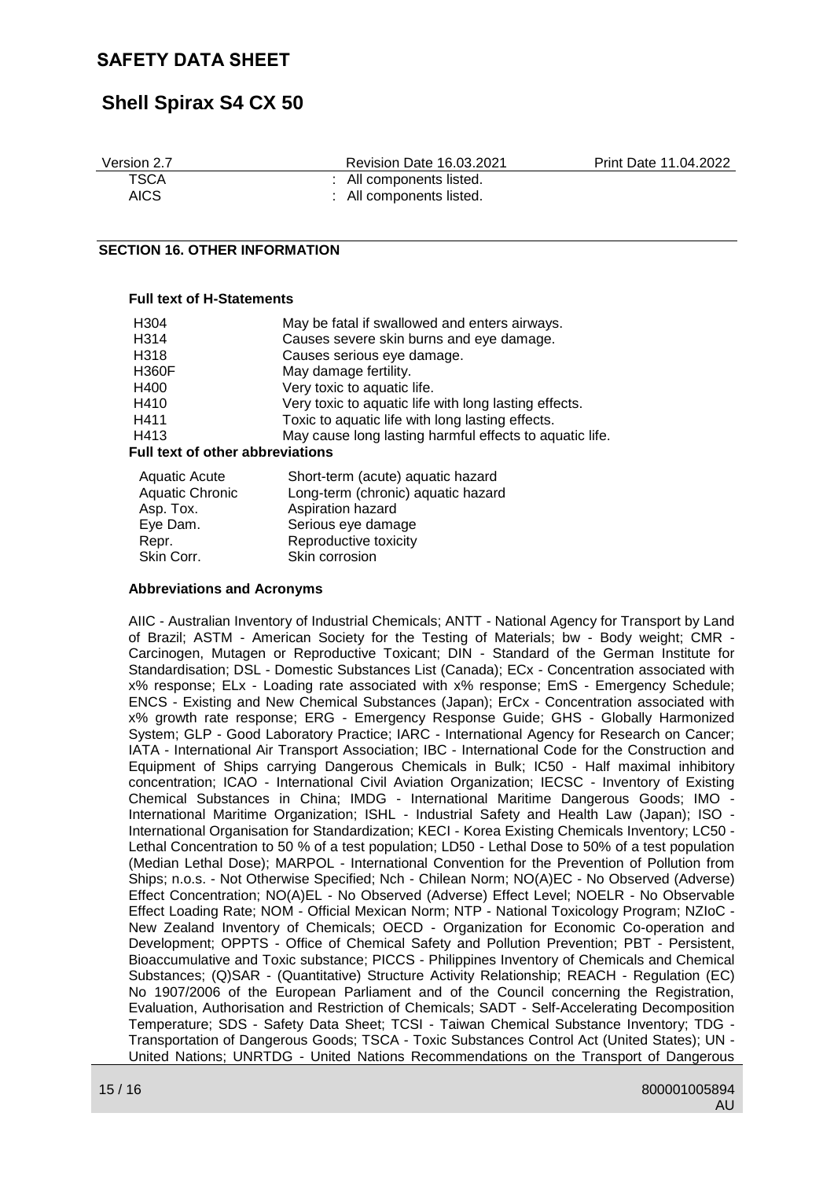## **Shell Spirax S4 CX 50**

| Version 2.7 | Revision Date 16.03.2021 | Print Date 11.04.2022 |
|-------------|--------------------------|-----------------------|
| <b>TSCA</b> | : All components listed. |                       |
| AICS        | : All components listed. |                       |

#### **SECTION 16. OTHER INFORMATION**

#### **Full text of H-Statements**

| H304                                    | May be fatal if swallowed and enters airways.           |  |  |  |
|-----------------------------------------|---------------------------------------------------------|--|--|--|
| H314                                    | Causes severe skin burns and eye damage.                |  |  |  |
| H318                                    | Causes serious eye damage.                              |  |  |  |
| <b>H360F</b>                            | May damage fertility.                                   |  |  |  |
| H400                                    | Very toxic to aquatic life.                             |  |  |  |
| H410                                    | Very toxic to aquatic life with long lasting effects.   |  |  |  |
| H411                                    | Toxic to aquatic life with long lasting effects.        |  |  |  |
| H413                                    | May cause long lasting harmful effects to aquatic life. |  |  |  |
| <b>Full text of other abbreviations</b> |                                                         |  |  |  |
| <b>Aquatic Acute</b>                    | Short-term (acute) aquatic hazard                       |  |  |  |
| Aquatic Chronic                         | Long-term (chronic) aquatic hazard                      |  |  |  |
| Asp. Tox.                               | Aspiration hazard                                       |  |  |  |

| <b>Aquatic Chronic</b> | Long-term (chronic) aquatic hazar |
|------------------------|-----------------------------------|
| Asp. Tox.              | Aspiration hazard                 |
| Eye Dam.               | Serious eye damage                |
| Repr.                  | Reproductive toxicity             |
| Skin Corr.             | Skin corrosion                    |
|                        |                                   |

#### **Abbreviations and Acronyms**

AIIC - Australian Inventory of Industrial Chemicals; ANTT - National Agency for Transport by Land of Brazil; ASTM - American Society for the Testing of Materials; bw - Body weight; CMR - Carcinogen, Mutagen or Reproductive Toxicant; DIN - Standard of the German Institute for Standardisation; DSL - Domestic Substances List (Canada); ECx - Concentration associated with x% response; ELx - Loading rate associated with x% response; EmS - Emergency Schedule; ENCS - Existing and New Chemical Substances (Japan); ErCx - Concentration associated with x% growth rate response; ERG - Emergency Response Guide; GHS - Globally Harmonized System; GLP - Good Laboratory Practice; IARC - International Agency for Research on Cancer; IATA - International Air Transport Association; IBC - International Code for the Construction and Equipment of Ships carrying Dangerous Chemicals in Bulk; IC50 - Half maximal inhibitory concentration; ICAO - International Civil Aviation Organization; IECSC - Inventory of Existing Chemical Substances in China; IMDG - International Maritime Dangerous Goods; IMO - International Maritime Organization; ISHL - Industrial Safety and Health Law (Japan); ISO - International Organisation for Standardization; KECI - Korea Existing Chemicals Inventory; LC50 - Lethal Concentration to 50 % of a test population; LD50 - Lethal Dose to 50% of a test population (Median Lethal Dose); MARPOL - International Convention for the Prevention of Pollution from Ships; n.o.s. - Not Otherwise Specified; Nch - Chilean Norm; NO(A)EC - No Observed (Adverse) Effect Concentration; NO(A)EL - No Observed (Adverse) Effect Level; NOELR - No Observable Effect Loading Rate; NOM - Official Mexican Norm; NTP - National Toxicology Program; NZIoC - New Zealand Inventory of Chemicals; OECD - Organization for Economic Co-operation and Development; OPPTS - Office of Chemical Safety and Pollution Prevention; PBT - Persistent, Bioaccumulative and Toxic substance; PICCS - Philippines Inventory of Chemicals and Chemical Substances; (Q)SAR - (Quantitative) Structure Activity Relationship; REACH - Regulation (EC) No 1907/2006 of the European Parliament and of the Council concerning the Registration, Evaluation, Authorisation and Restriction of Chemicals; SADT - Self-Accelerating Decomposition Temperature; SDS - Safety Data Sheet; TCSI - Taiwan Chemical Substance Inventory; TDG - Transportation of Dangerous Goods; TSCA - Toxic Substances Control Act (United States); UN - United Nations; UNRTDG - United Nations Recommendations on the Transport of Dangerous